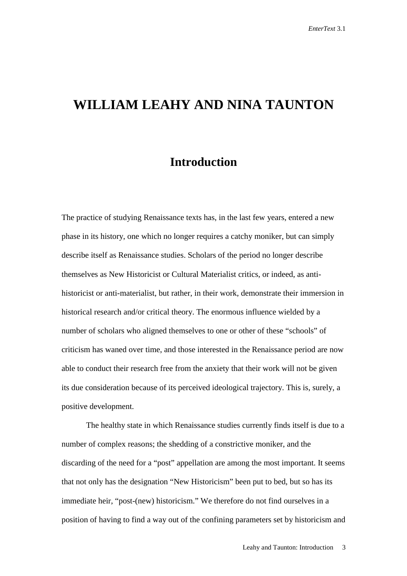## **WILLIAM LEAHY AND NINA TAUNTON**

## **Introduction**

The practice of studying Renaissance texts has, in the last few years, entered a new phase in its history, one which no longer requires a catchy moniker, but can simply describe itself as Renaissance studies. Scholars of the period no longer describe themselves as New Historicist or Cultural Materialist critics, or indeed, as antihistoricist or anti-materialist, but rather, in their work, demonstrate their immersion in historical research and/or critical theory. The enormous influence wielded by a number of scholars who aligned themselves to one or other of these "schools" of criticism has waned over time, and those interested in the Renaissance period are now able to conduct their research free from the anxiety that their work will not be given its due consideration because of its perceived ideological trajectory. This is, surely, a positive development.

 The healthy state in which Renaissance studies currently finds itself is due to a number of complex reasons; the shedding of a constrictive moniker, and the discarding of the need for a "post" appellation are among the most important. It seems that not only has the designation "New Historicism" been put to bed, but so has its immediate heir, "post-(new) historicism." We therefore do not find ourselves in a position of having to find a way out of the confining parameters set by historicism and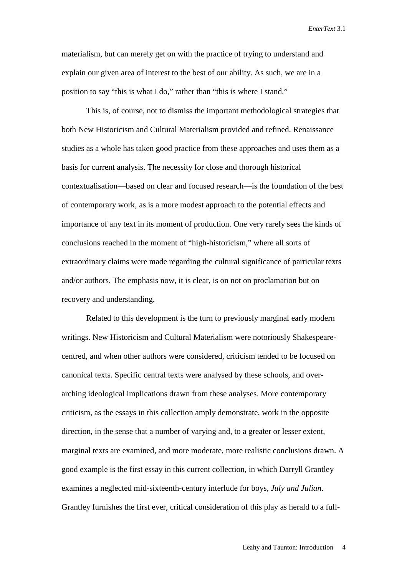materialism, but can merely get on with the practice of trying to understand and explain our given area of interest to the best of our ability. As such, we are in a position to say "this is what I do," rather than "this is where I stand."

 This is, of course, not to dismiss the important methodological strategies that both New Historicism and Cultural Materialism provided and refined. Renaissance studies as a whole has taken good practice from these approaches and uses them as a basis for current analysis. The necessity for close and thorough historical contextualisation—based on clear and focused research—is the foundation of the best of contemporary work, as is a more modest approach to the potential effects and importance of any text in its moment of production. One very rarely sees the kinds of conclusions reached in the moment of "high-historicism," where all sorts of extraordinary claims were made regarding the cultural significance of particular texts and/or authors. The emphasis now, it is clear, is on not on proclamation but on recovery and understanding.

 Related to this development is the turn to previously marginal early modern writings. New Historicism and Cultural Materialism were notoriously Shakespearecentred, and when other authors were considered, criticism tended to be focused on canonical texts. Specific central texts were analysed by these schools, and overarching ideological implications drawn from these analyses. More contemporary criticism, as the essays in this collection amply demonstrate, work in the opposite direction, in the sense that a number of varying and, to a greater or lesser extent, marginal texts are examined, and more moderate, more realistic conclusions drawn. A good example is the first essay in this current collection, in which Darryll Grantley examines a neglected mid-sixteenth-century interlude for boys, *July and Julian*. Grantley furnishes the first ever, critical consideration of this play as herald to a full-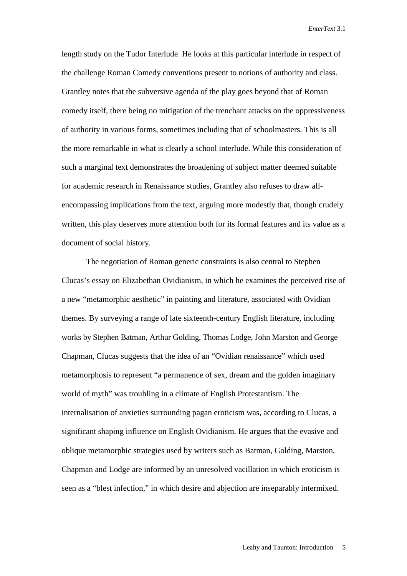length study on the Tudor Interlude. He looks at this particular interlude in respect of the challenge Roman Comedy conventions present to notions of authority and class. Grantley notes that the subversive agenda of the play goes beyond that of Roman comedy itself, there being no mitigation of the trenchant attacks on the oppressiveness of authority in various forms, sometimes including that of schoolmasters. This is all the more remarkable in what is clearly a school interlude. While this consideration of such a marginal text demonstrates the broadening of subject matter deemed suitable for academic research in Renaissance studies, Grantley also refuses to draw allencompassing implications from the text, arguing more modestly that, though crudely written, this play deserves more attention both for its formal features and its value as a document of social history.

 The negotiation of Roman generic constraints is also central to Stephen Clucas's essay on Elizabethan Ovidianism, in which he examines the perceived rise of a new "metamorphic aesthetic" in painting and literature, associated with Ovidian themes. By surveying a range of late sixteenth-century English literature, including works by Stephen Batman, Arthur Golding, Thomas Lodge, John Marston and George Chapman, Clucas suggests that the idea of an "Ovidian renaissance" which used metamorphosis to represent "a permanence of sex, dream and the golden imaginary world of myth" was troubling in a climate of English Protestantism. The internalisation of anxieties surrounding pagan eroticism was, according to Clucas, a significant shaping influence on English Ovidianism. He argues that the evasive and oblique metamorphic strategies used by writers such as Batman, Golding, Marston, Chapman and Lodge are informed by an unresolved vacillation in which eroticism is seen as a "blest infection," in which desire and abjection are inseparably intermixed.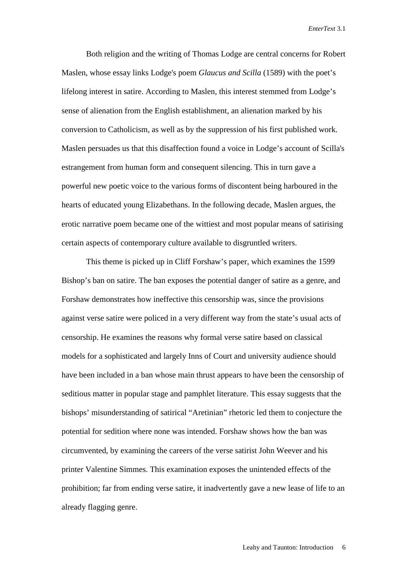Both religion and the writing of Thomas Lodge are central concerns for Robert Maslen, whose essay links Lodge's poem *Glaucus and Scilla* (1589) with the poet's lifelong interest in satire. According to Maslen, this interest stemmed from Lodge's sense of alienation from the English establishment, an alienation marked by his conversion to Catholicism, as well as by the suppression of his first published work. Maslen persuades us that this disaffection found a voice in Lodge's account of Scilla's estrangement from human form and consequent silencing. This in turn gave a powerful new poetic voice to the various forms of discontent being harboured in the hearts of educated young Elizabethans. In the following decade, Maslen argues, the erotic narrative poem became one of the wittiest and most popular means of satirising certain aspects of contemporary culture available to disgruntled writers.

 This theme is picked up in Cliff Forshaw's paper, which examines the 1599 Bishop's ban on satire. The ban exposes the potential danger of satire as a genre, and Forshaw demonstrates how ineffective this censorship was, since the provisions against verse satire were policed in a very different way from the state's usual acts of censorship. He examines the reasons why formal verse satire based on classical models for a sophisticated and largely Inns of Court and university audience should have been included in a ban whose main thrust appears to have been the censorship of seditious matter in popular stage and pamphlet literature. This essay suggests that the bishops' misunderstanding of satirical "Aretinian" rhetoric led them to conjecture the potential for sedition where none was intended. Forshaw shows how the ban was circumvented, by examining the careers of the verse satirist John Weever and his printer Valentine Simmes. This examination exposes the unintended effects of the prohibition; far from ending verse satire, it inadvertently gave a new lease of life to an already flagging genre.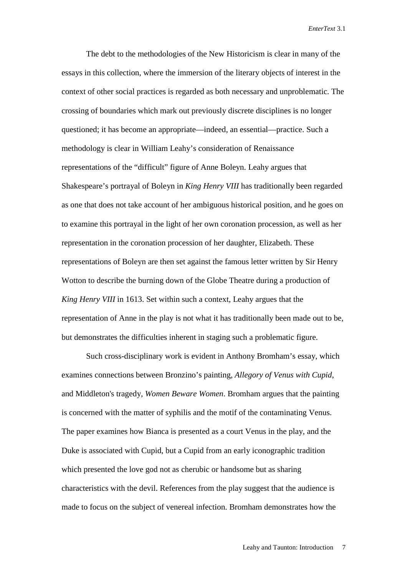The debt to the methodologies of the New Historicism is clear in many of the essays in this collection, where the immersion of the literary objects of interest in the context of other social practices is regarded as both necessary and unproblematic. The crossing of boundaries which mark out previously discrete disciplines is no longer questioned; it has become an appropriate—indeed, an essential—practice. Such a methodology is clear in William Leahy's consideration of Renaissance representations of the "difficult" figure of Anne Boleyn. Leahy argues that Shakespeare's portrayal of Boleyn in *King Henry VIII* has traditionally been regarded as one that does not take account of her ambiguous historical position, and he goes on to examine this portrayal in the light of her own coronation procession, as well as her representation in the coronation procession of her daughter, Elizabeth. These representations of Boleyn are then set against the famous letter written by Sir Henry Wotton to describe the burning down of the Globe Theatre during a production of *King Henry VIII* in 1613. Set within such a context, Leahy argues that the representation of Anne in the play is not what it has traditionally been made out to be, but demonstrates the difficulties inherent in staging such a problematic figure.

 Such cross-disciplinary work is evident in Anthony Bromham's essay, which examines connections between Bronzino's painting, *Allegory of Venus with Cupid*, and Middleton's tragedy, *Women Beware Women*. Bromham argues that the painting is concerned with the matter of syphilis and the motif of the contaminating Venus. The paper examines how Bianca is presented as a court Venus in the play, and the Duke is associated with Cupid, but a Cupid from an early iconographic tradition which presented the love god not as cherubic or handsome but as sharing characteristics with the devil. References from the play suggest that the audience is made to focus on the subject of venereal infection. Bromham demonstrates how the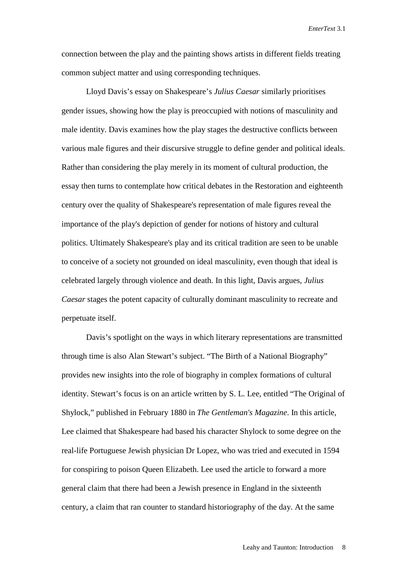connection between the play and the painting shows artists in different fields treating common subject matter and using corresponding techniques.

 Lloyd Davis's essay on Shakespeare's *Julius Caesar* similarly prioritises gender issues, showing how the play is preoccupied with notions of masculinity and male identity. Davis examines how the play stages the destructive conflicts between various male figures and their discursive struggle to define gender and political ideals. Rather than considering the play merely in its moment of cultural production, the essay then turns to contemplate how critical debates in the Restoration and eighteenth century over the quality of Shakespeare's representation of male figures reveal the importance of the play's depiction of gender for notions of history and cultural politics. Ultimately Shakespeare's play and its critical tradition are seen to be unable to conceive of a society not grounded on ideal masculinity, even though that ideal is celebrated largely through violence and death. In this light, Davis argues, *Julius Caesar* stages the potent capacity of culturally dominant masculinity to recreate and perpetuate itself.

 Davis's spotlight on the ways in which literary representations are transmitted through time is also Alan Stewart's subject. "The Birth of a National Biography" provides new insights into the role of biography in complex formations of cultural identity. Stewart's focus is on an article written by S. L. Lee, entitled "The Original of Shylock," published in February 1880 in *The Gentleman's Magazine*. In this article, Lee claimed that Shakespeare had based his character Shylock to some degree on the real-life Portuguese Jewish physician Dr Lopez, who was tried and executed in 1594 for conspiring to poison Queen Elizabeth. Lee used the article to forward a more general claim that there had been a Jewish presence in England in the sixteenth century, a claim that ran counter to standard historiography of the day. At the same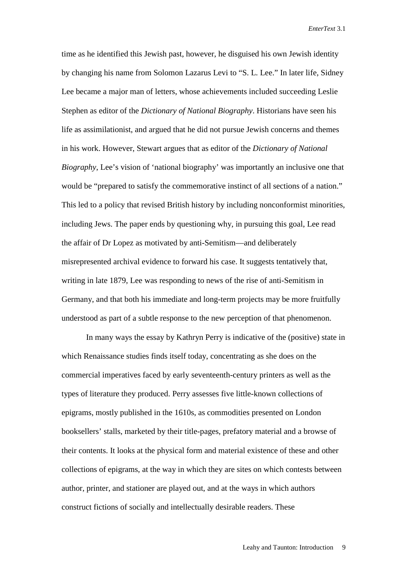time as he identified this Jewish past, however, he disguised his own Jewish identity by changing his name from Solomon Lazarus Levi to "S. L. Lee." In later life, Sidney Lee became a major man of letters, whose achievements included succeeding Leslie Stephen as editor of the *Dictionary of National Biography*. Historians have seen his life as assimilationist, and argued that he did not pursue Jewish concerns and themes in his work. However, Stewart argues that as editor of the *Dictionary of National Biography*, Lee's vision of 'national biography' was importantly an inclusive one that would be "prepared to satisfy the commemorative instinct of all sections of a nation." This led to a policy that revised British history by including nonconformist minorities, including Jews. The paper ends by questioning why, in pursuing this goal, Lee read the affair of Dr Lopez as motivated by anti-Semitism—and deliberately misrepresented archival evidence to forward his case. It suggests tentatively that, writing in late 1879, Lee was responding to news of the rise of anti-Semitism in Germany, and that both his immediate and long-term projects may be more fruitfully understood as part of a subtle response to the new perception of that phenomenon.

In many ways the essay by Kathryn Perry is indicative of the (positive) state in which Renaissance studies finds itself today, concentrating as she does on the commercial imperatives faced by early seventeenth-century printers as well as the types of literature they produced. Perry assesses five little-known collections of epigrams, mostly published in the 1610s, as commodities presented on London booksellers' stalls, marketed by their title-pages, prefatory material and a browse of their contents. It looks at the physical form and material existence of these and other collections of epigrams, at the way in which they are sites on which contests between author, printer, and stationer are played out, and at the ways in which authors construct fictions of socially and intellectually desirable readers. These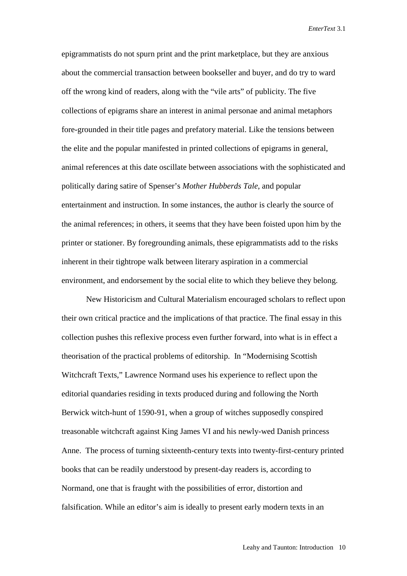epigrammatists do not spurn print and the print marketplace, but they are anxious about the commercial transaction between bookseller and buyer, and do try to ward off the wrong kind of readers, along with the "vile arts" of publicity. The five collections of epigrams share an interest in animal personae and animal metaphors fore-grounded in their title pages and prefatory material. Like the tensions between the elite and the popular manifested in printed collections of epigrams in general, animal references at this date oscillate between associations with the sophisticated and politically daring satire of Spenser's *Mother Hubberds Tale*, and popular entertainment and instruction. In some instances, the author is clearly the source of the animal references; in others, it seems that they have been foisted upon him by the printer or stationer. By foregrounding animals, these epigrammatists add to the risks inherent in their tightrope walk between literary aspiration in a commercial environment, and endorsement by the social elite to which they believe they belong.

 New Historicism and Cultural Materialism encouraged scholars to reflect upon their own critical practice and the implications of that practice. The final essay in this collection pushes this reflexive process even further forward, into what is in effect a theorisation of the practical problems of editorship. In "Modernising Scottish Witchcraft Texts," Lawrence Normand uses his experience to reflect upon the editorial quandaries residing in texts produced during and following the North Berwick witch-hunt of 1590-91, when a group of witches supposedly conspired treasonable witchcraft against King James VI and his newly-wed Danish princess Anne. The process of turning sixteenth-century texts into twenty-first-century printed books that can be readily understood by present-day readers is, according to Normand, one that is fraught with the possibilities of error, distortion and falsification. While an editor's aim is ideally to present early modern texts in an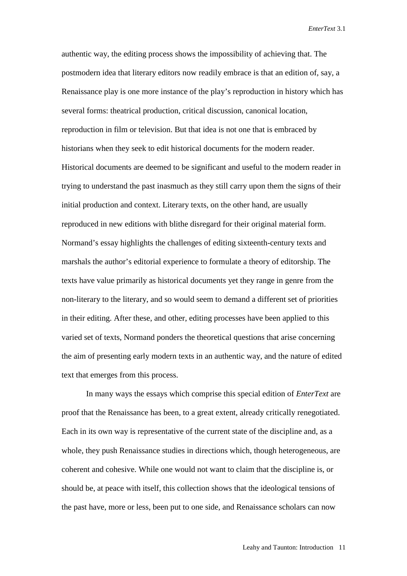authentic way, the editing process shows the impossibility of achieving that. The postmodern idea that literary editors now readily embrace is that an edition of, say, a Renaissance play is one more instance of the play's reproduction in history which has several forms: theatrical production, critical discussion, canonical location, reproduction in film or television. But that idea is not one that is embraced by historians when they seek to edit historical documents for the modern reader. Historical documents are deemed to be significant and useful to the modern reader in trying to understand the past inasmuch as they still carry upon them the signs of their initial production and context. Literary texts, on the other hand, are usually reproduced in new editions with blithe disregard for their original material form. Normand's essay highlights the challenges of editing sixteenth-century texts and marshals the author's editorial experience to formulate a theory of editorship. The texts have value primarily as historical documents yet they range in genre from the non-literary to the literary, and so would seem to demand a different set of priorities in their editing. After these, and other, editing processes have been applied to this varied set of texts, Normand ponders the theoretical questions that arise concerning the aim of presenting early modern texts in an authentic way, and the nature of edited text that emerges from this process.

 In many ways the essays which comprise this special edition of *EnterText* are proof that the Renaissance has been, to a great extent, already critically renegotiated. Each in its own way is representative of the current state of the discipline and, as a whole, they push Renaissance studies in directions which, though heterogeneous, are coherent and cohesive. While one would not want to claim that the discipline is, or should be, at peace with itself, this collection shows that the ideological tensions of the past have, more or less, been put to one side, and Renaissance scholars can now